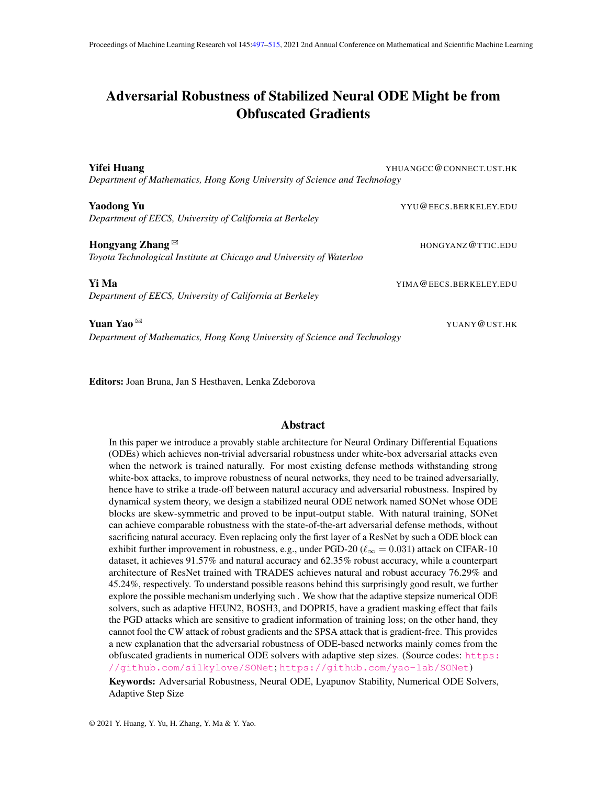# <span id="page-0-1"></span><span id="page-0-0"></span>Adversarial Robustness of Stabilized Neural ODE Might be from Obfuscated Gradients

| <b>Yifei Huang</b>                                                                                 | YHUANGCC@CONNECT.UST.HK |
|----------------------------------------------------------------------------------------------------|-------------------------|
| Department of Mathematics, Hong Kong University of Science and Technology                          |                         |
| <b>Yaodong Yu</b><br>Department of EECS, University of California at Berkeley                      | YYU@EECS.BERKELEY.EDU   |
| Hongyang Zhang $\boxtimes$<br>Toyota Technological Institute at Chicago and University of Waterloo | HONGYANZ@TTIC.EDU       |
| Yi Ma<br>Department of EECS, University of California at Berkeley                                  | YIMA@EECS.BERKELEY.EDU  |
| Yuan Yao<br>Department of Mathematics, Hong Kong University of Science and Technology              | YUANY@UST.HK            |

Editors: Joan Bruna, Jan S Hesthaven, Lenka Zdeborova

# Abstract

In this paper we introduce a provably stable architecture for Neural Ordinary Differential Equations (ODEs) which achieves non-trivial adversarial robustness under white-box adversarial attacks even when the network is trained naturally. For most existing defense methods withstanding strong white-box attacks, to improve robustness of neural networks, they need to be trained adversarially, hence have to strike a trade-off between natural accuracy and adversarial robustness. Inspired by dynamical system theory, we design a stabilized neural ODE network named SONet whose ODE blocks are skew-symmetric and proved to be input-output stable. With natural training, SONet can achieve comparable robustness with the state-of-the-art adversarial defense methods, without sacrificing natural accuracy. Even replacing only the first layer of a ResNet by such a ODE block can exhibit further improvement in robustness, e.g., under PGD-20 ( $\ell_{\infty} = 0.031$ ) attack on CIFAR-10 dataset, it achieves 91.57% and natural accuracy and 62.35% robust accuracy, while a counterpart architecture of ResNet trained with TRADES achieves natural and robust accuracy 76.29% and 45.24%, respectively. To understand possible reasons behind this surprisingly good result, we further explore the possible mechanism underlying such . We show that the adaptive stepsize numerical ODE solvers, such as adaptive HEUN2, BOSH3, and DOPRI5, have a gradient masking effect that fails the PGD attacks which are sensitive to gradient information of training loss; on the other hand, they cannot fool the CW attack of robust gradients and the SPSA attack that is gradient-free. This provides a new explanation that the adversarial robustness of ODE-based networks mainly comes from the obfuscated gradients in numerical ODE solvers with adaptive step sizes. (Source codes: [https:](https://github.com/silkylove/SONet) [//github.com/silkylove/SONet](https://github.com/silkylove/SONet); <https://github.com/yao-lab/SONet>) Keywords: Adversarial Robustness, Neural ODE, Lyapunov Stability, Numerical ODE Solvers, Adaptive Step Size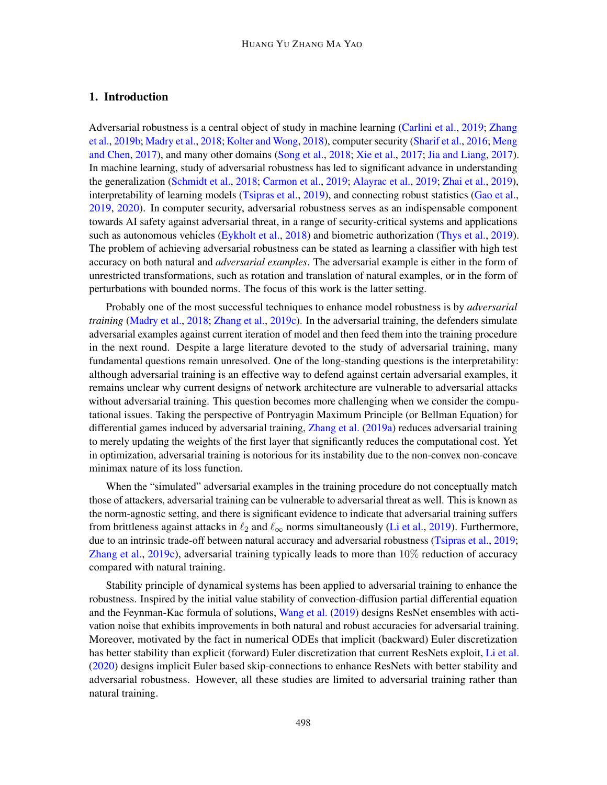# 1. Introduction

Adversarial robustness is a central object of study in machine learning [\(Carlini et al.,](#page-15-0) [2019;](#page-15-0) [Zhang](#page-18-1) [et al.,](#page-18-1) [2019b;](#page-18-1) [Madry et al.,](#page-17-0) [2018;](#page-17-0) [Kolter and Wong,](#page-17-1) [2018\)](#page-17-1), computer security [\(Sharif et al.,](#page-17-2) [2016;](#page-17-2) [Meng](#page-17-3) [and Chen,](#page-17-3) [2017\)](#page-17-3), and many other domains [\(Song et al.,](#page-17-4) [2018;](#page-17-4) [Xie et al.,](#page-18-2) [2017;](#page-18-2) [Jia and Liang,](#page-17-5) [2017\)](#page-17-5). In machine learning, study of adversarial robustness has led to significant advance in understanding the generalization [\(Schmidt et al.,](#page-17-6) [2018;](#page-17-6) [Carmon et al.,](#page-16-0) [2019;](#page-16-0) [Alayrac et al.,](#page-15-1) [2019;](#page-15-1) [Zhai et al.,](#page-18-3) [2019\)](#page-18-3), interpretability of learning models [\(Tsipras et al.,](#page-18-4) [2019\)](#page-18-4), and connecting robust statistics [\(Gao et al.,](#page-16-1) [2019,](#page-16-1) [2020\)](#page-16-2). In computer security, adversarial robustness serves as an indispensable component towards AI safety against adversarial threat, in a range of security-critical systems and applications such as autonomous vehicles [\(Eykholt et al.,](#page-16-3) [2018\)](#page-16-3) and biometric authorization [\(Thys et al.,](#page-17-7) [2019\)](#page-17-7). The problem of achieving adversarial robustness can be stated as learning a classifier with high test accuracy on both natural and *adversarial examples*. The adversarial example is either in the form of unrestricted transformations, such as rotation and translation of natural examples, or in the form of perturbations with bounded norms. The focus of this work is the latter setting.

Probably one of the most successful techniques to enhance model robustness is by *adversarial training* [\(Madry et al.,](#page-17-0) [2018;](#page-17-0) [Zhang et al.,](#page-18-5) [2019c\)](#page-18-5). In the adversarial training, the defenders simulate adversarial examples against current iteration of model and then feed them into the training procedure in the next round. Despite a large literature devoted to the study of adversarial training, many fundamental questions remain unresolved. One of the long-standing questions is the interpretability: although adversarial training is an effective way to defend against certain adversarial examples, it remains unclear why current designs of network architecture are vulnerable to adversarial attacks without adversarial training. This question becomes more challenging when we consider the computational issues. Taking the perspective of Pontryagin Maximum Principle (or Bellman Equation) for differential games induced by adversarial training, [Zhang et al.](#page-18-6) [\(2019a\)](#page-18-6) reduces adversarial training to merely updating the weights of the first layer that significantly reduces the computational cost. Yet in optimization, adversarial training is notorious for its instability due to the non-convex non-concave minimax nature of its loss function.

When the "simulated" adversarial examples in the training procedure do not conceptually match those of attackers, adversarial training can be vulnerable to adversarial threat as well. This is known as the norm-agnostic setting, and there is significant evidence to indicate that adversarial training suffers from brittleness against attacks in  $\ell_2$  and  $\ell_\infty$  norms simultaneously [\(Li et al.,](#page-17-8) [2019\)](#page-17-8). Furthermore, due to an intrinsic trade-off between natural accuracy and adversarial robustness [\(Tsipras et al.,](#page-18-4) [2019;](#page-18-4) [Zhang et al.,](#page-18-5) [2019c\)](#page-18-5), adversarial training typically leads to more than 10% reduction of accuracy compared with natural training.

Stability principle of dynamical systems has been applied to adversarial training to enhance the robustness. Inspired by the initial value stability of convection-diffusion partial differential equation and the Feynman-Kac formula of solutions, [Wang et al.](#page-18-7) [\(2019\)](#page-18-7) designs ResNet ensembles with activation noise that exhibits improvements in both natural and robust accuracies for adversarial training. Moreover, motivated by the fact in numerical ODEs that implicit (backward) Euler discretization has better stability than explicit (forward) Euler discretization that current ResNets exploit, [Li et al.](#page-17-9) [\(2020\)](#page-17-9) designs implicit Euler based skip-connections to enhance ResNets with better stability and adversarial robustness. However, all these studies are limited to adversarial training rather than natural training.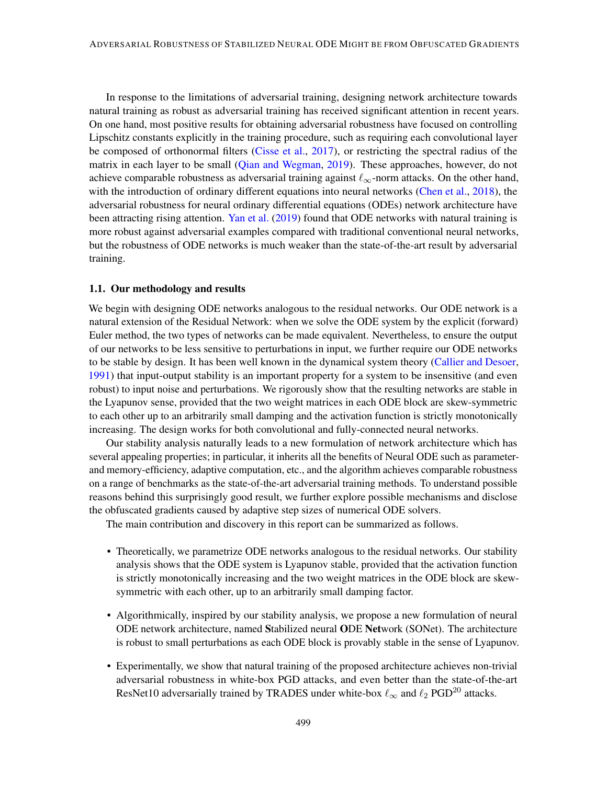In response to the limitations of adversarial training, designing network architecture towards natural training as robust as adversarial training has received significant attention in recent years. On one hand, most positive results for obtaining adversarial robustness have focused on controlling Lipschitz constants explicitly in the training procedure, such as requiring each convolutional layer be composed of orthonormal filters [\(Cisse et al.,](#page-16-4) [2017\)](#page-16-4), or restricting the spectral radius of the matrix in each layer to be small [\(Qian and Wegman,](#page-17-10) [2019\)](#page-17-10). These approaches, however, do not achieve comparable robustness as adversarial training against  $\ell_{\infty}$ -norm attacks. On the other hand, with the introduction of ordinary different equations into neural networks [\(Chen et al.,](#page-16-5) [2018\)](#page-16-5), the adversarial robustness for neural ordinary differential equations (ODEs) network architecture have been attracting rising attention. [Yan et al.](#page-18-8) [\(2019\)](#page-18-8) found that ODE networks with natural training is more robust against adversarial examples compared with traditional conventional neural networks, but the robustness of ODE networks is much weaker than the state-of-the-art result by adversarial training.

### 1.1. Our methodology and results

We begin with designing ODE networks analogous to the residual networks. Our ODE network is a natural extension of the Residual Network: when we solve the ODE system by the explicit (forward) Euler method, the two types of networks can be made equivalent. Nevertheless, to ensure the output of our networks to be less sensitive to perturbations in input, we further require our ODE networks to be stable by design. It has been well known in the dynamical system theory [\(Callier and Desoer,](#page-15-2) [1991\)](#page-15-2) that input-output stability is an important property for a system to be insensitive (and even robust) to input noise and perturbations. We rigorously show that the resulting networks are stable in the Lyapunov sense, provided that the two weight matrices in each ODE block are skew-symmetric to each other up to an arbitrarily small damping and the activation function is strictly monotonically increasing. The design works for both convolutional and fully-connected neural networks.

Our stability analysis naturally leads to a new formulation of network architecture which has several appealing properties; in particular, it inherits all the benefits of Neural ODE such as parameterand memory-efficiency, adaptive computation, etc., and the algorithm achieves comparable robustness on a range of benchmarks as the state-of-the-art adversarial training methods. To understand possible reasons behind this surprisingly good result, we further explore possible mechanisms and disclose the obfuscated gradients caused by adaptive step sizes of numerical ODE solvers.

The main contribution and discovery in this report can be summarized as follows.

- Theoretically, we parametrize ODE networks analogous to the residual networks. Our stability analysis shows that the ODE system is Lyapunov stable, provided that the activation function is strictly monotonically increasing and the two weight matrices in the ODE block are skewsymmetric with each other, up to an arbitrarily small damping factor.
- Algorithmically, inspired by our stability analysis, we propose a new formulation of neural ODE network architecture, named Stabilized neural ODE Network (SONet). The architecture is robust to small perturbations as each ODE block is provably stable in the sense of Lyapunov.
- Experimentally, we show that natural training of the proposed architecture achieves non-trivial adversarial robustness in white-box PGD attacks, and even better than the state-of-the-art ResNet10 adversarially trained by TRADES under white-box  $\ell_{\infty}$  and  $\ell_2$  PGD<sup>20</sup> attacks.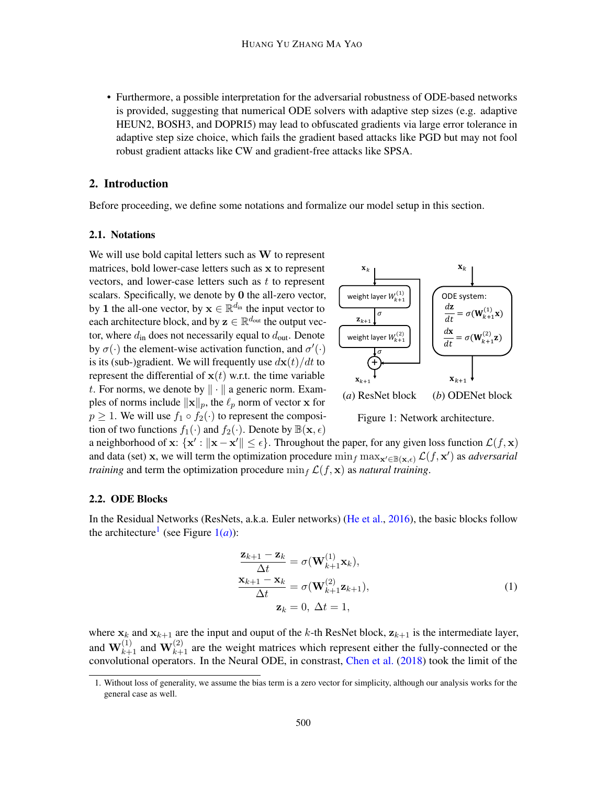• Furthermore, a possible interpretation for the adversarial robustness of ODE-based networks is provided, suggesting that numerical ODE solvers with adaptive step sizes (e.g. adaptive HEUN2, BOSH3, and DOPRI5) may lead to obfuscated gradients via large error tolerance in adaptive step size choice, which fails the gradient based attacks like PGD but may not fool robust gradient attacks like CW and gradient-free attacks like SPSA.

### 2. Introduction

Before proceeding, we define some notations and formalize our model setup in this section.

#### 2.1. Notations

We will use bold capital letters such as  $W$  to represent matrices, bold lower-case letters such as x to represent vectors, and lower-case letters such as  $t$  to represent scalars. Specifically, we denote by 0 the all-zero vector, by 1 the all-one vector, by  $\mathbf{x} \in \mathbb{R}^{d_{\text{in}}}$  the input vector to each architecture block, and by  $\mathbf{z} \in \mathbb{R}^{d_{\text{out}}}$  the output vector, where  $d_{\text{in}}$  does not necessarily equal to  $d_{\text{out}}$ . Denote by  $\sigma(\cdot)$  the element-wise activation function, and  $\sigma'(\cdot)$ is its (sub-)gradient. We will frequently use  $d\mathbf{x}(t)/dt$  to represent the differential of  $x(t)$  w.r.t. the time variable t. For norms, we denote by  $\|\cdot\|$  a generic norm. Examples of norms include  $\|\mathbf{x}\|_p$ , the  $\ell_p$  norm of vector x for  $p \geq 1$ . We will use  $f_1 \circ f_2(\cdot)$  to represent the composition of two functions  $f_1(\cdot)$  and  $f_2(\cdot)$ . Denote by  $\mathbb{B}(\mathbf{x}, \epsilon)$ 

<span id="page-3-0"></span>

<span id="page-3-2"></span><span id="page-3-1"></span>Figure 1: Network architecture.

a neighborhood of  $x: \{x' : ||x - x'|| \leq \epsilon\}$ . Throughout the paper, for any given loss function  $\mathcal{L}(f, x)$ and data (set) x, we will term the optimization procedure  $\min_f \max_{x' \in B(x,\epsilon)} \mathcal{L}(f, x')$  as *adversarial training* and term the optimization procedure  $\min_f \mathcal{L}(f, \mathbf{x})$  as *natural training*.

#### 2.2. ODE Blocks

In the Residual Networks (ResNets, a.k.a. Euler networks) [\(He et al.,](#page-16-6) [2016\)](#page-16-6), the basic blocks follow the architecture<sup>[1](#page-0-1)</sup> (see Figure  $1(a)$  $1(a)$ ):

$$
\frac{\mathbf{z}_{k+1} - \mathbf{z}_k}{\Delta t} = \sigma(\mathbf{W}_{k+1}^{(1)} \mathbf{x}_k),
$$
  

$$
\frac{\mathbf{x}_{k+1} - \mathbf{x}_k}{\Delta t} = \sigma(\mathbf{W}_{k+1}^{(2)} \mathbf{z}_{k+1}),
$$
  

$$
\mathbf{z}_k = 0, \ \Delta t = 1,
$$
 (1)

where  $x_k$  and  $x_{k+1}$  are the input and ouput of the k-th ResNet block,  $z_{k+1}$  is the intermediate layer, and  $W_{k+1}^{(1)}$  and  $W_{k+1}^{(2)}$  are the weight matrices which represent either the fully-connected or the convolutional operators. In the Neural ODE, in constrast, [Chen et al.](#page-16-5) [\(2018\)](#page-16-5) took the limit of the

<sup>1.</sup> Without loss of generality, we assume the bias term is a zero vector for simplicity, although our analysis works for the general case as well.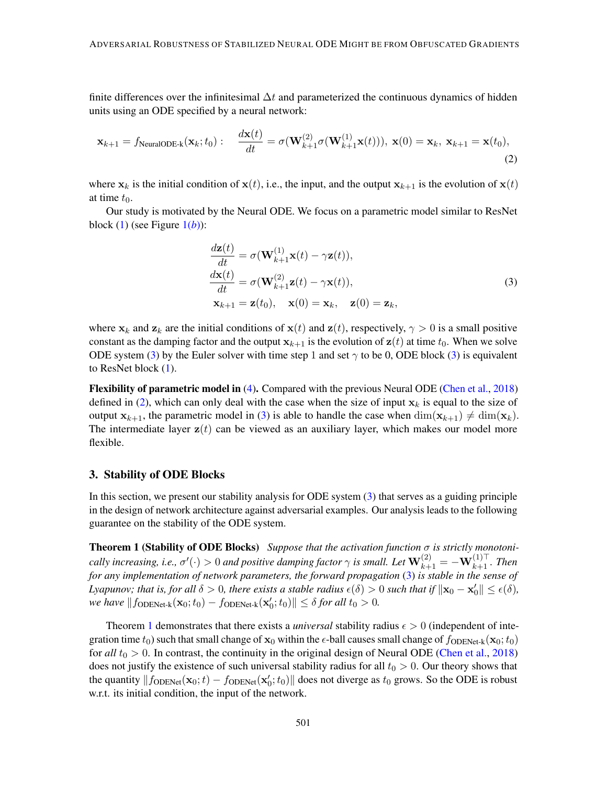finite differences over the infinitesimal  $\Delta t$  and parameterized the continuous dynamics of hidden units using an ODE specified by a neural network:

$$
\mathbf{x}_{k+1} = f_{\text{NeuralODE-k}}(\mathbf{x}_k; t_0): \quad \frac{d\mathbf{x}(t)}{dt} = \sigma(\mathbf{W}_{k+1}^{(2)}\sigma(\mathbf{W}_{k+1}^{(1)}\mathbf{x}(t))), \ \mathbf{x}(0) = \mathbf{x}_k, \ \mathbf{x}_{k+1} = \mathbf{x}(t_0),
$$
\n(2)

where  $x_k$  is the initial condition of  $x(t)$ , i.e., the input, and the output  $x_{k+1}$  is the evolution of  $x(t)$ at time  $t_0$ .

Our study is motivated by the Neural ODE. We focus on a parametric model similar to ResNet block  $(1)$  (see Figure  $1(b)$  $1(b)$ ):

<span id="page-4-1"></span><span id="page-4-0"></span>
$$
\frac{d\mathbf{z}(t)}{dt} = \sigma(\mathbf{W}_{k+1}^{(1)}\mathbf{x}(t) - \gamma \mathbf{z}(t)),
$$
\n
$$
\frac{d\mathbf{x}(t)}{dt} = \sigma(\mathbf{W}_{k+1}^{(2)}\mathbf{z}(t) - \gamma \mathbf{x}(t)),
$$
\n
$$
\mathbf{x}_{k+1} = \mathbf{z}(t_0), \quad \mathbf{x}(0) = \mathbf{x}_k, \quad \mathbf{z}(0) = \mathbf{z}_k,
$$
\n(3)

where  $x_k$  and  $z_k$  are the initial conditions of  $x(t)$  and  $z(t)$ , respectively,  $\gamma > 0$  is a small positive constant as the damping factor and the output  $x_{k+1}$  is the evolution of  $z(t)$  at time  $t_0$ . When we solve ODE system [\(3\)](#page-4-0) by the Euler solver with time step 1 and set  $\gamma$  to be 0, ODE block (3) is equivalent to ResNet block [\(1\)](#page-3-1).

Flexibility of parametric model in [\(4\)](#page-5-0). Compared with the previous Neural ODE [\(Chen et al.,](#page-16-5) [2018\)](#page-16-5) defined in [\(2\)](#page-4-1), which can only deal with the case when the size of input  $x_k$  is equal to the size of output  $x_{k+1}$ , the parametric model in [\(3\)](#page-4-0) is able to handle the case when  $\dim(x_{k+1}) \neq \dim(x_k)$ . The intermediate layer  $z(t)$  can be viewed as an auxiliary layer, which makes our model more flexible.

### 3. Stability of ODE Blocks

<span id="page-4-2"></span>In this section, we present our stability analysis for ODE system [\(3\)](#page-4-0) that serves as a guiding principle in the design of network architecture against adversarial examples. Our analysis leads to the following guarantee on the stability of the ODE system.

Theorem 1 (Stability of ODE Blocks) *Suppose that the activation function* σ *is strictly monotoni*cally increasing, i.e.,  $\sigma'(\cdot) > 0$  and positive damping factor  $\gamma$  is small. Let  $\mathbf{W}_{k+1}^{(2)} = -\mathbf{W}_{k+1}^{(1)\top}$ . Then *for any implementation of network parameters, the forward propagation* [\(3\)](#page-4-0) *is stable in the sense of Lyapunov; that is, for all*  $\delta > 0$ *, there exists a stable radius*  $\epsilon(\delta) > 0$  *such that if*  $\|\mathbf{x}_0 - \mathbf{x}_0'\| \leq \epsilon(\delta)$ *, we have*  $|| f_{\text{ODENet-k}}(\mathbf{x}_0; t_0) - f_{\text{ODENet-k}}(\mathbf{x}'_0; t_0)|| \leq \delta$  *for all*  $t_0 > 0$ *.* 

Theorem [1](#page-4-2) demonstrates that there exists a *universal* stability radius  $\epsilon > 0$  (independent of integration time  $t_0$ ) such that small change of  $\mathbf{x}_0$  within the  $\epsilon$ -ball causes small change of  $f_{\text{ODENet-k}}(\mathbf{x}_0; t_0)$ for *all*  $t_0 > 0$ . In contrast, the continuity in the original design of Neural ODE [\(Chen et al.,](#page-16-5) [2018\)](#page-16-5) does not justify the existence of such universal stability radius for all  $t_0 > 0$ . Our theory shows that the quantity  $||f_{\text{ODENet}}(\mathbf{x}_0; t) - f_{\text{ODENet}}(\mathbf{x}'_0; t_0)||$  does not diverge as  $t_0$  grows. So the ODE is robust w.r.t. its initial condition, the input of the network.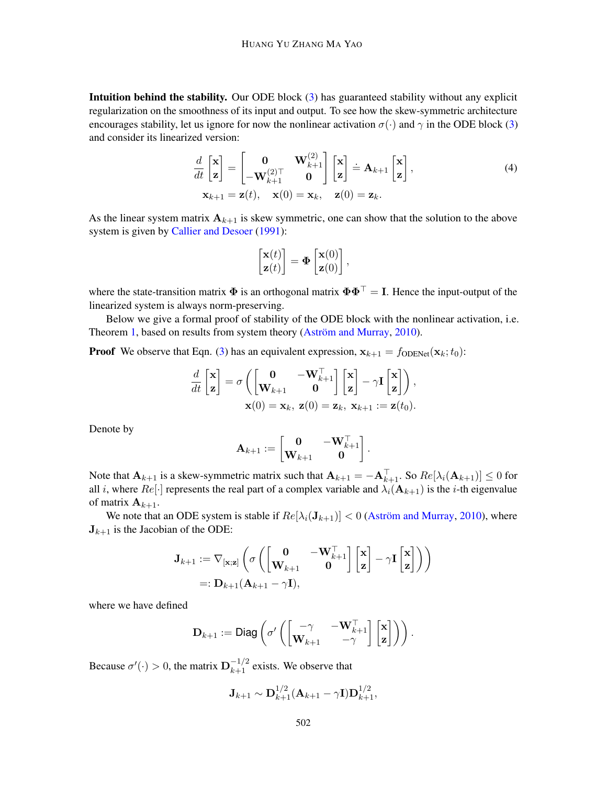Intuition behind the stability. Our ODE block [\(3\)](#page-4-0) has guaranteed stability without any explicit regularization on the smoothness of its input and output. To see how the skew-symmetric architecture encourages stability, let us ignore for now the nonlinear activation  $\sigma(\cdot)$  and  $\gamma$  in the ODE block [\(3\)](#page-4-0) and consider its linearized version:

$$
\frac{d}{dt} \begin{bmatrix} \mathbf{x} \\ \mathbf{z} \end{bmatrix} = \begin{bmatrix} \mathbf{0} & \mathbf{W}_{k+1}^{(2)} \\ -\mathbf{W}_{k+1}^{(2)\top} & \mathbf{0} \end{bmatrix} \begin{bmatrix} \mathbf{x} \\ \mathbf{z} \end{bmatrix} = \mathbf{A}_{k+1} \begin{bmatrix} \mathbf{x} \\ \mathbf{z} \end{bmatrix},
$$
\n
$$
\mathbf{x}_{k+1} = \mathbf{z}(t), \quad \mathbf{x}(0) = \mathbf{x}_k, \quad \mathbf{z}(0) = \mathbf{z}_k.
$$
\n(4)

As the linear system matrix  $A_{k+1}$  is skew symmetric, one can show that the solution to the above system is given by [Callier and Desoer](#page-15-2) [\(1991\)](#page-15-2):

<span id="page-5-0"></span>
$$
\begin{bmatrix} \mathbf{x}(t) \\ \mathbf{z}(t) \end{bmatrix} = \mathbf{\Phi} \begin{bmatrix} \mathbf{x}(0) \\ \mathbf{z}(0) \end{bmatrix},
$$

where the state-transition matrix  $\Phi$  is an orthogonal matrix  $\Phi \Phi^{\top} = I$ . Hence the input-output of the linearized system is always norm-preserving.

Below we give a formal proof of stability of the ODE block with the nonlinear activation, i.e. Theorem [1,](#page-4-2) based on results from system theory [\(Aström and Murray,](#page-15-3) [2010\)](#page-15-3).

**Proof** We observe that Eqn. [\(3\)](#page-4-0) has an equivalent expression,  $x_{k+1} = f_{\text{ODENet}}(x_k; t_0)$ :

$$
\frac{d}{dt} \begin{bmatrix} \mathbf{x} \\ \mathbf{z} \end{bmatrix} = \sigma \left( \begin{bmatrix} \mathbf{0} & -\mathbf{W}_{k+1}^{\top} \\ \mathbf{W}_{k+1} & \mathbf{0} \end{bmatrix} \begin{bmatrix} \mathbf{x} \\ \mathbf{z} \end{bmatrix} - \gamma \mathbf{I} \begin{bmatrix} \mathbf{x} \\ \mathbf{z} \end{bmatrix} \right),
$$

$$
\mathbf{x}(0) = \mathbf{x}_k, \ \mathbf{z}(0) = \mathbf{z}_k, \ \mathbf{x}_{k+1} := \mathbf{z}(t_0).
$$

Denote by

$$
\mathbf{A}_{k+1} := \begin{bmatrix} \mathbf{0} & -\mathbf{W}_{k+1}^\top \\ \mathbf{W}_{k+1} & \mathbf{0} \end{bmatrix}.
$$

Note that  $\mathbf{A}_{k+1}$  is a skew-symmetric matrix such that  $\mathbf{A}_{k+1} = -\mathbf{A}_{k+1}^{\top}$ . So  $Re[\lambda_i(\mathbf{A}_{k+1})] \le 0$  for all i, where  $Re[\cdot]$  represents the real part of a complex variable and  $\lambda_i(\mathbf{A}_{k+1})$  is the *i*-th eigenvalue of matrix  $A_{k+1}$ .

We note that an ODE system is stable if  $Re[\lambda_i(\mathbf{J}_{k+1})] < 0$  [\(Aström and Murray,](#page-15-3) [2010\)](#page-15-3), where  $J_{k+1}$  is the Jacobian of the ODE:

$$
\mathbf{J}_{k+1} := \nabla_{[\mathbf{x};\mathbf{z}]} \left( \sigma \left( \begin{bmatrix} \mathbf{0} & -\mathbf{W}_{k+1}^{\top} \\ \mathbf{W}_{k+1} & \mathbf{0} \end{bmatrix} \begin{bmatrix} \mathbf{x} \\ \mathbf{z} \end{bmatrix} - \gamma \mathbf{I} \begin{bmatrix} \mathbf{x} \\ \mathbf{z} \end{bmatrix} \right) \right)
$$
  
=:  $\mathbf{D}_{k+1} (\mathbf{A}_{k+1} - \gamma \mathbf{I}),$ 

where we have defined

$$
\mathbf{D}_{k+1} := \mathsf{Diag}\left(\sigma'\left(\begin{bmatrix} -\gamma & -\mathbf{W}_{k+1}^{\top} \\ \mathbf{W}_{k+1} & -\gamma \end{bmatrix} \begin{bmatrix} \mathbf{x} \\ \mathbf{z} \end{bmatrix}\right)\right).
$$

Because  $\sigma'(\cdot) > 0$ , the matrix  $\mathbf{D}_{k+1}^{-1/2}$  exists. We observe that

$$
\mathbf{J}_{k+1} \sim \mathbf{D}_{k+1}^{1/2} (\mathbf{A}_{k+1} - \gamma \mathbf{I}) \mathbf{D}_{k+1}^{1/2},
$$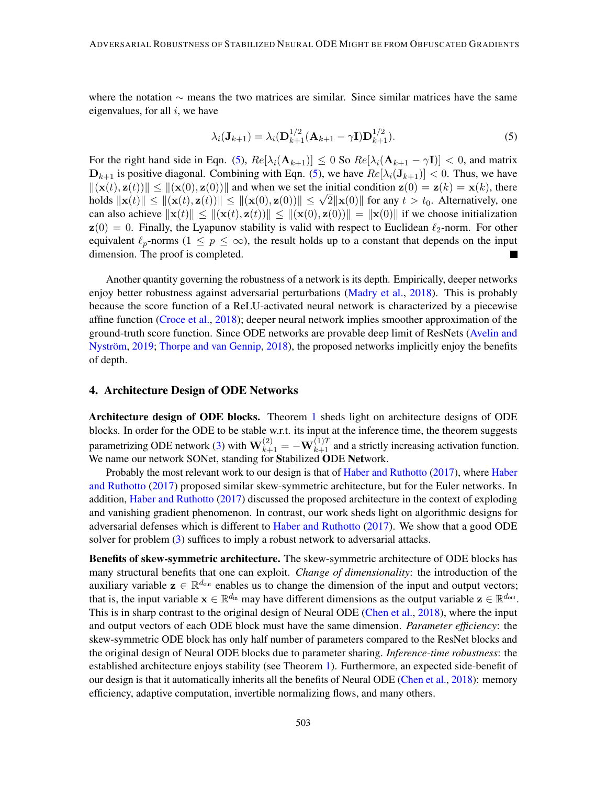where the notation  $\sim$  means the two matrices are similar. Since similar matrices have the same eigenvalues, for all  $i$ , we have

<span id="page-6-0"></span>
$$
\lambda_i(\mathbf{J}_{k+1}) = \lambda_i(\mathbf{D}_{k+1}^{1/2}(\mathbf{A}_{k+1} - \gamma \mathbf{I}) \mathbf{D}_{k+1}^{1/2}).
$$
\n(5)

For the right hand side in Eqn. [\(5\)](#page-6-0),  $Re[\lambda_i(\mathbf{A}_{k+1})] \leq 0$  So  $Re[\lambda_i(\mathbf{A}_{k+1} - \gamma \mathbf{I})] < 0$ , and matrix  $D_{k+1}$  is positive diagonal. Combining with Eqn. [\(5\)](#page-6-0), we have  $Re[\lambda_i(\mathbf{J}_{k+1})] < 0$ . Thus, we have  $\|(\mathbf{x}(t), \mathbf{z}(t))\| \leq \|(\mathbf{x}(0), \mathbf{z}(0))\|$  and when we set the initial condition  $\mathbf{z}(0) = \mathbf{z}(k) = \mathbf{x}(k)$ , there  $\|(\mathbf{x}(t), \mathbf{z}(t))\| \leq \|(\mathbf{x}(0), \mathbf{z}(0))\|$  and when we set the initial condition  $\mathbf{z}(0) = \mathbf{z}(k) = \mathbf{x}(k)$ , there holds  $\|\mathbf{x}(t)\| \leq \|(\mathbf{x}(t), \mathbf{z}(t))\| \leq \|(\mathbf{x}(0), \mathbf{z}(0))\| \leq \sqrt{2}\|\mathbf{x}(0)\|$  for any  $t > t_0$ . Alternativel can also achieve  $\|\mathbf{x}(t)\| \leq \|(\mathbf{x}(t), \mathbf{z}(t))\| \leq \|(\mathbf{x}(0), \mathbf{z}(0))\| = \|\mathbf{x}(0)\|$  if we choose initialization  $z(0) = 0$ . Finally, the Lyapunov stability is valid with respect to Euclidean  $\ell_2$ -norm. For other equivalent  $\ell_p$ -norms  $(1 \leq p \leq \infty)$ , the result holds up to a constant that depends on the input dimension. The proof is completed.

Another quantity governing the robustness of a network is its depth. Empirically, deeper networks enjoy better robustness against adversarial perturbations [\(Madry et al.,](#page-17-0) [2018\)](#page-17-0). This is probably because the score function of a ReLU-activated neural network is characterized by a piecewise affine function [\(Croce et al.,](#page-16-7) [2018\)](#page-16-7); deeper neural network implies smoother approximation of the ground-truth score function. Since ODE networks are provable deep limit of ResNets [\(Avelin and](#page-15-4) [Nyström,](#page-15-4) [2019;](#page-15-4) [Thorpe and van Gennip,](#page-17-11) [2018\)](#page-17-11), the proposed networks implicitly enjoy the benefits of depth.

### 4. Architecture Design of ODE Networks

Architecture design of ODE blocks. Theorem [1](#page-4-2) sheds light on architecture designs of ODE blocks. In order for the ODE to be stable w.r.t. its input at the inference time, the theorem suggests parametrizing ODE network [\(3\)](#page-4-0) with  $\mathbf{W}_{k+1}^{(2)} = -\mathbf{W}_{k+1}^{(1)T}$  and a strictly increasing activation function. We name our network SONet, standing for Stabilized ODE Network.

Probably the most relevant work to our design is that of [Haber and Ruthotto](#page-16-8) [\(2017\)](#page-16-8), where [Haber](#page-16-8) [and Ruthotto](#page-16-8) [\(2017\)](#page-16-8) proposed similar skew-symmetric architecture, but for the Euler networks. In addition, [Haber and Ruthotto](#page-16-8) [\(2017\)](#page-16-8) discussed the proposed architecture in the context of exploding and vanishing gradient phenomenon. In contrast, our work sheds light on algorithmic designs for adversarial defenses which is different to [Haber and Ruthotto](#page-16-8) [\(2017\)](#page-16-8). We show that a good ODE solver for problem [\(3\)](#page-4-0) suffices to imply a robust network to adversarial attacks.

Benefits of skew-symmetric architecture. The skew-symmetric architecture of ODE blocks has many structural benefits that one can exploit. *Change of dimensionality*: the introduction of the auxiliary variable  $z \in \mathbb{R}^{d_{out}}$  enables us to change the dimension of the input and output vectors; that is, the input variable  $\mathbf{x} \in \mathbb{R}^{d_{\text{in}}}$  may have different dimensions as the output variable  $\mathbf{z} \in \mathbb{R}^{d_{\text{out}}}$ . This is in sharp contrast to the original design of Neural ODE [\(Chen et al.,](#page-16-5) [2018\)](#page-16-5), where the input and output vectors of each ODE block must have the same dimension. *Parameter efficiency*: the skew-symmetric ODE block has only half number of parameters compared to the ResNet blocks and the original design of Neural ODE blocks due to parameter sharing. *Inference-time robustness*: the established architecture enjoys stability (see Theorem [1\)](#page-4-2). Furthermore, an expected side-benefit of our design is that it automatically inherits all the benefits of Neural ODE [\(Chen et al.,](#page-16-5) [2018\)](#page-16-5): memory efficiency, adaptive computation, invertible normalizing flows, and many others.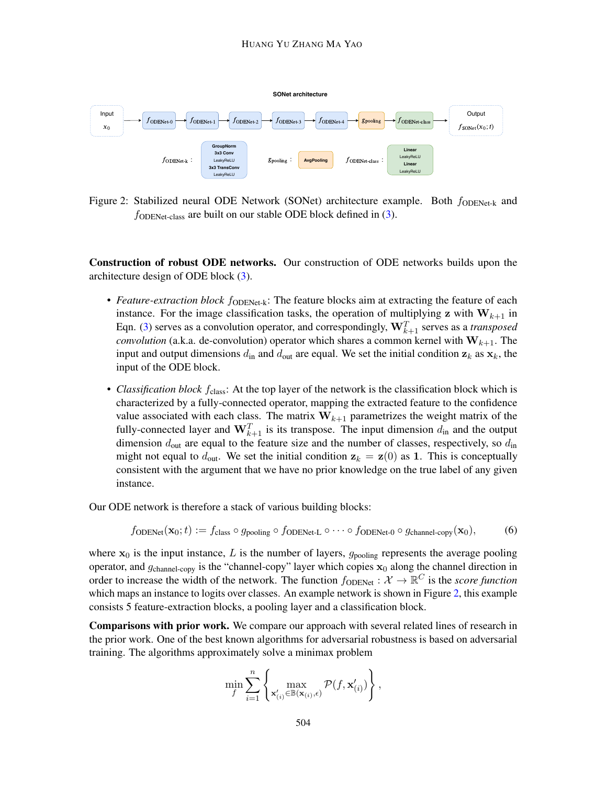

<span id="page-7-0"></span>Figure 2: Stabilized neural ODE Network (SONet) architecture example. Both  $f_{ODENet-k}$  and  $f_{ODENet-class}$  are built on our stable ODE block defined in  $(3)$ .

Construction of robust ODE networks. Our construction of ODE networks builds upon the architecture design of ODE block [\(3\)](#page-4-0).

- *Feature-extraction block* f<sub>ODENet-k</sub>: The feature blocks aim at extracting the feature of each instance. For the image classification tasks, the operation of multiplying z with  $W_{k+1}$  in Eqn. [\(3\)](#page-4-0) serves as a convolution operator, and correspondingly,  $\mathbf{W}_{k+1}^T$  serves as a *transposed convolution* (a.k.a. de-convolution) operator which shares a common kernel with  $W_{k+1}$ . The input and output dimensions  $d_{\text{in}}$  and  $d_{\text{out}}$  are equal. We set the initial condition  $z_k$  as  $x_k$ , the input of the ODE block.
- *Classification block*  $f_{\text{class}}$ : At the top layer of the network is the classification block which is characterized by a fully-connected operator, mapping the extracted feature to the confidence value associated with each class. The matrix  $W_{k+1}$  parametrizes the weight matrix of the fully-connected layer and  $\mathbf{W}_{k+1}^T$  is its transpose. The input dimension  $d_{\text{in}}$  and the output dimension  $d_{\text{out}}$  are equal to the feature size and the number of classes, respectively, so  $d_{\text{in}}$ might not equal to  $d_{\text{out}}$ . We set the initial condition  $z_k = z(0)$  as 1. This is conceptually consistent with the argument that we have no prior knowledge on the true label of any given instance.

Our ODE network is therefore a stack of various building blocks:

$$
f_{\text{ODENet}}(\mathbf{x}_0; t) := f_{\text{class}} \circ g_{\text{pooling}} \circ f_{\text{ODENet-L}} \circ \cdots \circ f_{\text{ODENet-0}} \circ g_{\text{channel-copy}}(\mathbf{x}_0), \tag{6}
$$

where  $x_0$  is the input instance, L is the number of layers,  $g_{\text{pooling}}$  represents the average pooling operator, and  $g_{channel-copy}$  is the "channel-copy" layer which copies  $x_0$  along the channel direction in order to increase the width of the network. The function  $f_{\text{ODENet}}: \mathcal{X} \to \mathbb{R}^C$  is the *score function* which maps an instance to logits over classes. An example network is shown in Figure [2,](#page-7-0) this example consists 5 feature-extraction blocks, a pooling layer and a classification block.

Comparisons with prior work. We compare our approach with several related lines of research in the prior work. One of the best known algorithms for adversarial robustness is based on adversarial training. The algorithms approximately solve a minimax problem

$$
\min_{f} \sum_{i=1}^{n} \left\{ \max_{\mathbf{x}_{(i)}' \in \mathbb{B}(\mathbf{x}_{(i)}, \epsilon)} \mathcal{P}(f, \mathbf{x}_{(i)}') \right\},\
$$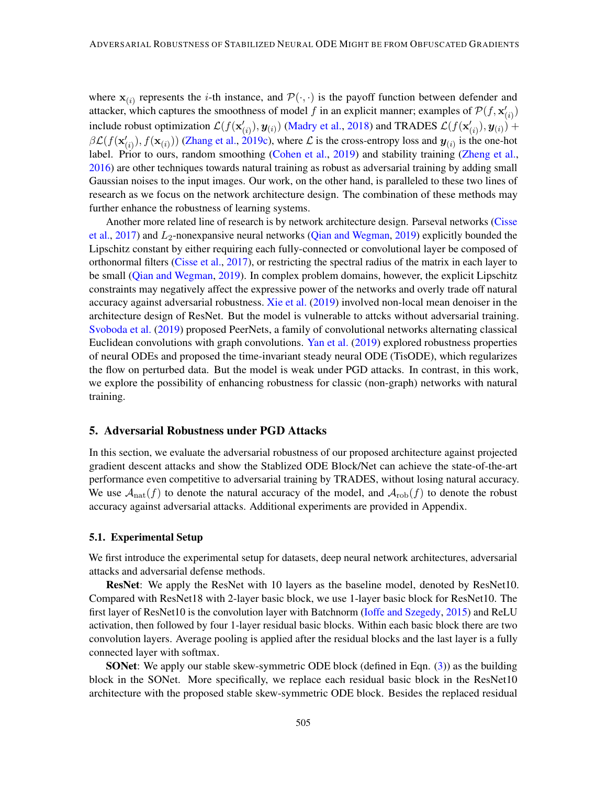where  $x_{(i)}$  represents the *i*-th instance, and  $\mathcal{P}(\cdot, \cdot)$  is the payoff function between defender and attacker, which captures the smoothness of model f in an explicit manner; examples of  $\mathcal{P}(f, \mathbf{x}'_{(i)})$ include robust optimization  $\mathcal{L}(f(\mathbf{x}'_{(i)}), \mathbf{y}_{(i)})$  [\(Madry et al.,](#page-17-0) [2018\)](#page-17-0) and TRADES  $\mathcal{L}(f(\mathbf{x}'_{(i)}), \mathbf{y}_{(i)}) +$  $\beta\mathcal{L}(f(\mathbf{x}'_{(i)}), f(\mathbf{x}_{(i)}))$  [\(Zhang et al.,](#page-18-5) [2019c\)](#page-18-5), where  $\mathcal{L}$  is the cross-entropy loss and  $\mathbf{y}_{(i)}$  is the one-hot label. Prior to ours, random smoothing [\(Cohen et al.,](#page-16-9) [2019\)](#page-16-9) and stability training [\(Zheng et al.,](#page-18-9) [2016\)](#page-18-9) are other techniques towards natural training as robust as adversarial training by adding small Gaussian noises to the input images. Our work, on the other hand, is paralleled to these two lines of research as we focus on the network architecture design. The combination of these methods may further enhance the robustness of learning systems.

Another more related line of research is by network architecture design. Parseval networks [\(Cisse](#page-16-4) [et al.,](#page-16-4) [2017\)](#page-16-4) and  $L_2$ -nonexpansive neural networks [\(Qian and Wegman,](#page-17-10) [2019\)](#page-17-10) explicitly bounded the Lipschitz constant by either requiring each fully-connected or convolutional layer be composed of orthonormal filters [\(Cisse et al.,](#page-16-4) [2017\)](#page-16-4), or restricting the spectral radius of the matrix in each layer to be small [\(Qian and Wegman,](#page-17-10) [2019\)](#page-17-10). In complex problem domains, however, the explicit Lipschitz constraints may negatively affect the expressive power of the networks and overly trade off natural accuracy against adversarial robustness. [Xie et al.](#page-18-10) [\(2019\)](#page-18-10) involved non-local mean denoiser in the architecture design of ResNet. But the model is vulnerable to attcks without adversarial training. [Svoboda et al.](#page-17-12) [\(2019\)](#page-17-12) proposed PeerNets, a family of convolutional networks alternating classical Euclidean convolutions with graph convolutions. [Yan et al.](#page-18-8) [\(2019\)](#page-18-8) explored robustness properties of neural ODEs and proposed the time-invariant steady neural ODE (TisODE), which regularizes the flow on perturbed data. But the model is weak under PGD attacks. In contrast, in this work, we explore the possibility of enhancing robustness for classic (non-graph) networks with natural training.

# 5. Adversarial Robustness under PGD Attacks

In this section, we evaluate the adversarial robustness of our proposed architecture against projected gradient descent attacks and show the Stablized ODE Block/Net can achieve the state-of-the-art performance even competitive to adversarial training by TRADES, without losing natural accuracy. We use  $\mathcal{A}_{nat}(f)$  to denote the natural accuracy of the model, and  $\mathcal{A}_{rob}(f)$  to denote the robust accuracy against adversarial attacks. Additional experiments are provided in Appendix.

#### 5.1. Experimental Setup

We first introduce the experimental setup for datasets, deep neural network architectures, adversarial attacks and adversarial defense methods.

ResNet: We apply the ResNet with 10 layers as the baseline model, denoted by ResNet10. Compared with ResNet18 with 2-layer basic block, we use 1-layer basic block for ResNet10. The first layer of ResNet10 is the convolution layer with Batchnorm [\(Ioffe and Szegedy,](#page-16-10) [2015\)](#page-16-10) and ReLU activation, then followed by four 1-layer residual basic blocks. Within each basic block there are two convolution layers. Average pooling is applied after the residual blocks and the last layer is a fully connected layer with softmax.

SONet: We apply our stable skew-symmetric ODE block (defined in Eqn. [\(3\)](#page-4-0)) as the building block in the SONet. More specifically, we replace each residual basic block in the ResNet10 architecture with the proposed stable skew-symmetric ODE block. Besides the replaced residual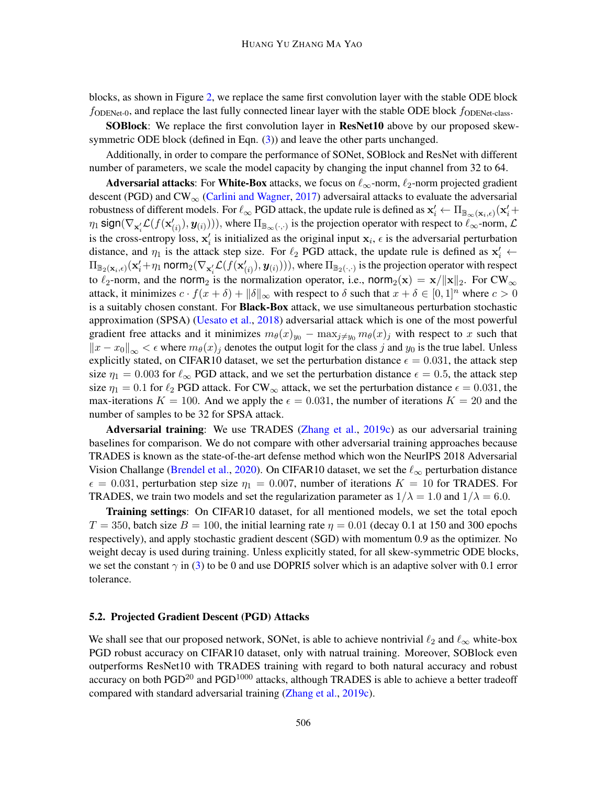blocks, as shown in Figure [2,](#page-7-0) we replace the same first convolution layer with the stable ODE block  $f_{\text{ODENet-0}}$ , and replace the last fully connected linear layer with the stable ODE block  $f_{\text{ODENet-class}}$ .

SOBlock: We replace the first convolution layer in ResNet10 above by our proposed skew-symmetric ODE block (defined in Eqn. [\(3\)](#page-4-0)) and leave the other parts unchanged.

Additionally, in order to compare the performance of SONet, SOBlock and ResNet with different number of parameters, we scale the model capacity by changing the input channel from 32 to 64.

Adversarial attacks: For White-Box attacks, we focus on  $\ell_{\infty}$ -norm,  $\ell_2$ -norm projected gradient descent (PGD) and  $CW_{\infty}$  [\(Carlini and Wagner,](#page-15-5) [2017\)](#page-15-5) adversairal attacks to evaluate the adversarial robustness of different models. For  $\ell_{\infty}$  PGD attack, the update rule is defined as  $\mathbf{x}'_i \leftarrow \Pi_{\mathbb{B}_{\infty}(\mathbf{x}_i,\epsilon)}(\mathbf{x}'_i +$  $\eta_1$  sign( $\nabla_{\mathbf{x}'_i} \mathcal{L}(f(\mathbf{x}'_{(i)}), \mathbf{y}_{(i)})))$ , where  $\Pi_{\mathbb{B}_{\infty}(\cdot, \cdot)}$  is the projection operator with respect to  $\ell_{\infty}$ -norm,  $\mathcal{L}$ is the cross-entropy loss,  $x'_i$  is initialized as the original input  $x_i$ ,  $\epsilon$  is the adversarial perturbation distance, and  $\eta_1$  is the attack step size. For  $\ell_2$  PGD attack, the update rule is defined as  $x'_i \leftarrow$  $\Pi_{\mathbb{B}_2(\mathbf{x}_i,\epsilon)}(\mathbf{x}'_i+\eta_1$  norm $_2(\nabla_{\mathbf{x}'_i}\mathcal{L}(f(\mathbf{x}'_{(i)}),\bm{y}_{(i)})))$ , where  $\Pi_{\mathbb{B}_2(\cdot,\cdot)}$  is the projection operator with respect to  $\ell_2$ -norm, and the norm<sub>2</sub> is the normalization operator, i.e., norm<sub>2</sub>(x) = x/||x||<sub>2</sub>. For CW<sub>∞</sub> attack, it minimizes  $c \cdot f(x + \delta) + ||\delta||_{\infty}$  with respect to  $\delta$  such that  $x + \delta \in [0, 1]^n$  where  $c > 0$ is a suitably chosen constant. For **Black-Box** attack, we use simultaneous perturbation stochastic approximation (SPSA) [\(Uesato et al.,](#page-18-11) [2018\)](#page-18-11) adversarial attack which is one of the most powerful gradient free attacks and it minimizes  $m_{\theta}(x)_{y_0} - \max_{j \neq y_0} m_{\theta}(x)_j$  with respect to x such that  $||x - x_0||_{\infty} < \epsilon$  where  $m_{\theta}(x)_j$  denotes the output logit for the class j and  $y_0$  is the true label. Unless explicitly stated, on CIFAR10 dataset, we set the perturbation distance  $\epsilon = 0.031$ , the attack step size  $\eta_1 = 0.003$  for  $\ell_{\infty}$  PGD attack, and we set the perturbation distance  $\epsilon = 0.5$ , the attack step size  $\eta_1 = 0.1$  for  $\ell_2$  PGD attack. For CW<sub>∞</sub> attack, we set the perturbation distance  $\epsilon = 0.031$ , the max-iterations  $K = 100$ . And we apply the  $\epsilon = 0.031$ , the number of iterations  $K = 20$  and the number of samples to be 32 for SPSA attack.

Adversarial training: We use TRADES [\(Zhang et al.,](#page-18-5) [2019c\)](#page-18-5) as our adversarial training baselines for comparison. We do not compare with other adversarial training approaches because TRADES is known as the state-of-the-art defense method which won the NeurIPS 2018 Adversarial Vision Challange [\(Brendel et al.,](#page-15-6) [2020\)](#page-15-6). On CIFAR10 dataset, we set the  $\ell_{\infty}$  perturbation distance  $\epsilon = 0.031$ , perturbation step size  $\eta_1 = 0.007$ , number of iterations  $K = 10$  for TRADES. For TRADES, we train two models and set the regularization parameter as  $1/\lambda = 1.0$  and  $1/\lambda = 6.0$ .

Training settings: On CIFAR10 dataset, for all mentioned models, we set the total epoch  $T = 350$ , batch size  $B = 100$ , the initial learning rate  $\eta = 0.01$  (decay 0.1 at 150 and 300 epochs respectively), and apply stochastic gradient descent (SGD) with momentum 0.9 as the optimizer. No weight decay is used during training. Unless explicitly stated, for all skew-symmetric ODE blocks, we set the constant  $\gamma$  in [\(3\)](#page-4-0) to be 0 and use DOPRI5 solver which is an adaptive solver with 0.1 error tolerance.

#### 5.2. Projected Gradient Descent (PGD) Attacks

We shall see that our proposed network, SONet, is able to achieve nontrivial  $\ell_2$  and  $\ell_{\infty}$  white-box PGD robust accuracy on CIFAR10 dataset, only with natrual training. Moreover, SOBlock even outperforms ResNet10 with TRADES training with regard to both natural accuracy and robust accuracy on both  $PGD^{20}$  and  $PGD^{1000}$  attacks, although TRADES is able to achieve a better tradeoff compared with standard adversarial training [\(Zhang et al.,](#page-18-5) [2019c\)](#page-18-5).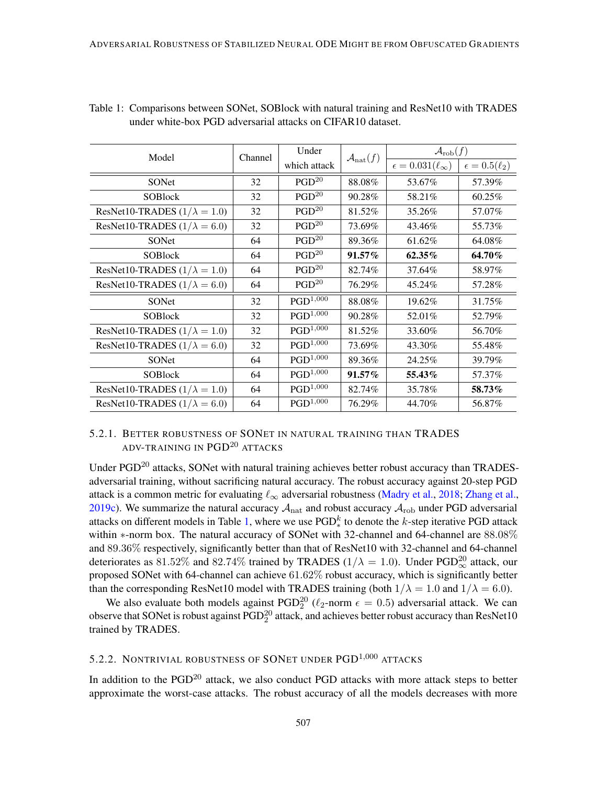| Model                               | Channel | Under                  | $\mathcal{A}_{\text{nat}}(f)$ | $\mathcal{A}_{\text{rob}}(f)$     |                          |
|-------------------------------------|---------|------------------------|-------------------------------|-----------------------------------|--------------------------|
|                                     |         | which attack           |                               | $\epsilon = 0.031(\ell_{\infty})$ | $\epsilon = 0.5(\ell_2)$ |
| SONet                               | 32      | PGD <sup>20</sup>      | 88.08%                        | 53.67%                            | 57.39%                   |
| <b>SOBlock</b>                      | 32      | PGD <sup>20</sup>      | 90.28%                        | 58.21%                            | 60.25%                   |
| ResNet10-TRADES $(1/\lambda = 1.0)$ | 32      | PGD <sup>20</sup>      | 81.52%                        | 35.26%                            | 57.07%                   |
| ResNet10-TRADES $(1/\lambda = 6.0)$ | 32      | PGD <sup>20</sup>      | 73.69%                        | 43.46%                            | 55.73%                   |
| SONet                               | 64      | PGD <sup>20</sup>      | 89.36%                        | 61.62%                            | 64.08%                   |
| <b>SOBlock</b>                      | 64      | PGD <sup>20</sup>      | $91.57\%$                     | $62.35\%$                         | 64.70%                   |
| ResNet10-TRADES $(1/\lambda = 1.0)$ | 64      | PGD <sup>20</sup>      | 82.74%                        | 37.64%                            | 58.97%                   |
| ResNet10-TRADES $(1/\lambda = 6.0)$ | 64      | PGD <sup>20</sup>      | 76.29%                        | 45.24%                            | 57.28%                   |
| SONet                               | 32      | PGD <sup>1,000</sup>   | 88.08%                        | 19.62%                            | 31.75%                   |
| <b>SOBlock</b>                      | 32      | $PGD^{1,000}$          | 90.28%                        | 52.01%                            | 52.79%                   |
| ResNet10-TRADES $(1/\lambda = 1.0)$ | 32      | $PGD^{1,000}$          | 81.52%                        | 33.60%                            | 56.70%                   |
| ResNet10-TRADES $(1/\lambda = 6.0)$ | 32      | $PGD^{1,000}$          | 73.69%                        | 43.30%                            | 55.48%                   |
| SONet                               | 64      | ${\rm PGD^{1,000}}$    | 89.36%                        | 24.25%                            | 39.79%                   |
| <b>SOBlock</b>                      | 64      | $\mathrm{PGD}^{1,000}$ | 91.57%                        | 55.43%                            | 57.37%                   |
| ResNet10-TRADES $(1/\lambda = 1.0)$ | 64      | $PGD^{1,000}$          | 82.74%                        | 35.78%                            | 58.73%                   |
| ResNet10-TRADES $(1/\lambda = 6.0)$ | 64      | ${\rm PGD^{1,000}}$    | 76.29%                        | 44.70%                            | 56.87%                   |

<span id="page-10-0"></span>Table 1: Comparisons between SONet, SOBlock with natural training and ResNet10 with TRADES under white-box PGD adversarial attacks on CIFAR10 dataset.

# 5.2.1. BETTER ROBUSTNESS OF SONET IN NATURAL TRAINING THAN TRADES ADV-TRAINING IN PGD<sup>20</sup> ATTACKS

Under PGD<sup>20</sup> attacks, SONet with natural training achieves better robust accuracy than TRADESadversarial training, without sacrificing natural accuracy. The robust accuracy against 20-step PGD attack is a common metric for evaluating  $\ell_{\infty}$  adversarial robustness [\(Madry et al.,](#page-17-0) [2018;](#page-17-0) [Zhang et al.,](#page-18-5) [2019c\)](#page-18-5). We summarize the natural accuracy  $A_{nat}$  and robust accuracy  $A_{rob}$  under PGD adversarial attacks on different models in Table [1,](#page-10-0) where we use  $PGD^k_*$  to denote the k-step iterative PGD attack within ∗-norm box. The natural accuracy of SONet with 32-channel and 64-channel are 88.08% and 89.36% respectively, significantly better than that of ResNet10 with 32-channel and 64-channel deteriorates as 81.52% and 82.74% trained by TRADES ( $1/\lambda = 1.0$ ). Under PGD<sub> $\infty$ </sub> attack, our proposed SONet with 64-channel can achieve 61.62% robust accuracy, which is significantly better than the corresponding ResNet10 model with TRADES training (both  $1/\lambda = 1.0$  and  $1/\lambda = 6.0$ ).

We also evaluate both models against PGD<sup>20</sup> ( $\ell_2$ -norm  $\epsilon = 0.5$ ) adversarial attack. We can observe that SONet is robust against  $\mathrm{PGD}^{20}_2$  attack, and achieves better robust accuracy than ResNet10 trained by TRADES.

# 5.2.2. NONTRIVIAL ROBUSTNESS OF SONET UNDER PGD<sup>1,000</sup> ATTACKS

In addition to the PGD<sup>20</sup> attack, we also conduct PGD attacks with more attack steps to better approximate the worst-case attacks. The robust accuracy of all the models decreases with more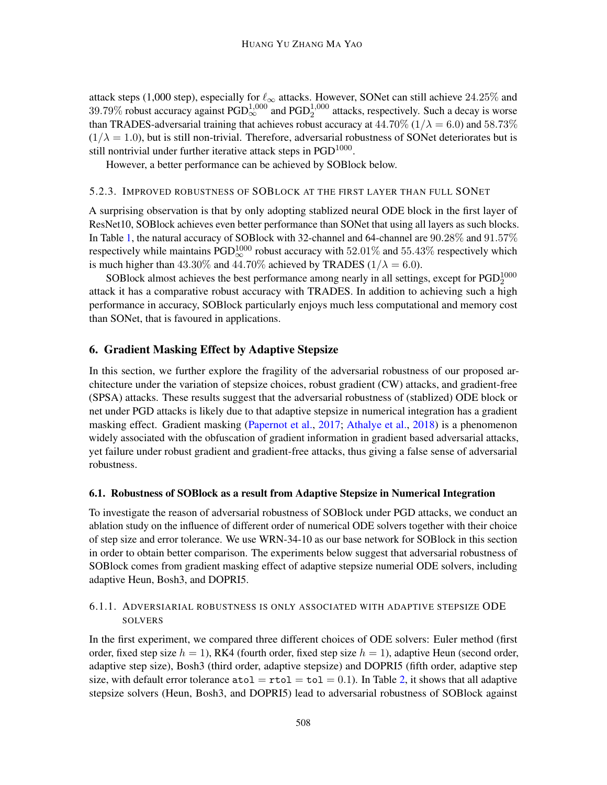attack steps (1,000 step), especially for  $\ell_{\infty}$  attacks. However, SONet can still achieve 24.25% and 39.79% robust accuracy against  $PGD^{1,000}_{\infty}$  and  $PGD^{1,000}_{2}$  attacks, respectively. Such a decay is worse than TRADES-adversarial training that achieves robust accuracy at  $44.70\%$  ( $1/\lambda = 6.0$ ) and  $58.73\%$  $(1/\lambda = 1.0)$ , but is still non-trivial. Therefore, adversarial robustness of SONet deteriorates but is still nontrivial under further iterative attack steps in  $PGD<sup>1000</sup>$ .

However, a better performance can be achieved by SOBlock below.

# 5.2.3. IMPROVED ROBUSTNESS OF SOBLOCK AT THE FIRST LAYER THAN FULL SONET

A surprising observation is that by only adopting stablized neural ODE block in the first layer of ResNet10, SOBlock achieves even better performance than SONet that using all layers as such blocks. In Table [1,](#page-10-0) the natural accuracy of SOBlock with 32-channel and 64-channel are 90.28% and 91.57% respectively while maintains PGD $^{1000}_{\infty}$  robust accuracy with  $52.01\%$  and  $55.43\%$  respectively which is much higher than 43.30% and 44.70% achieved by TRADES ( $1/\lambda = 6.0$ ).

SOBlock almost achieves the best performance among nearly in all settings, except for  $PGD_2^{1000}$ attack it has a comparative robust accuracy with TRADES. In addition to achieving such a high performance in accuracy, SOBlock particularly enjoys much less computational and memory cost than SONet, that is favoured in applications.

## 6. Gradient Masking Effect by Adaptive Stepsize

In this section, we further explore the fragility of the adversarial robustness of our proposed architecture under the variation of stepsize choices, robust gradient (CW) attacks, and gradient-free (SPSA) attacks. These results suggest that the adversarial robustness of (stablized) ODE block or net under PGD attacks is likely due to that adaptive stepsize in numerical integration has a gradient masking effect. Gradient masking [\(Papernot et al.,](#page-17-13) [2017;](#page-17-13) [Athalye et al.,](#page-15-7) [2018\)](#page-15-7) is a phenomenon widely associated with the obfuscation of gradient information in gradient based adversarial attacks, yet failure under robust gradient and gradient-free attacks, thus giving a false sense of adversarial robustness.

### 6.1. Robustness of SOBlock as a result from Adaptive Stepsize in Numerical Integration

To investigate the reason of adversarial robustness of SOBlock under PGD attacks, we conduct an ablation study on the influence of different order of numerical ODE solvers together with their choice of step size and error tolerance. We use WRN-34-10 as our base network for SOBlock in this section in order to obtain better comparison. The experiments below suggest that adversarial robustness of SOBlock comes from gradient masking effect of adaptive stepsize numerial ODE solvers, including adaptive Heun, Bosh3, and DOPRI5.

# 6.1.1. ADVERSIARIAL ROBUSTNESS IS ONLY ASSOCIATED WITH ADAPTIVE STEPSIZE ODE **SOLVERS**

In the first experiment, we compared three different choices of ODE solvers: Euler method (first order, fixed step size  $h = 1$ ), RK4 (fourth order, fixed step size  $h = 1$ ), adaptive Heun (second order, adaptive step size), Bosh3 (third order, adaptive stepsize) and DOPRI5 (fifth order, adaptive step size, with default error tolerance  $\text{atol} = \text{rtol} = \text{tol} = 0.1$ ). In Table [2,](#page-12-0) it shows that all adaptive stepsize solvers (Heun, Bosh3, and DOPRI5) lead to adversarial robustness of SOBlock against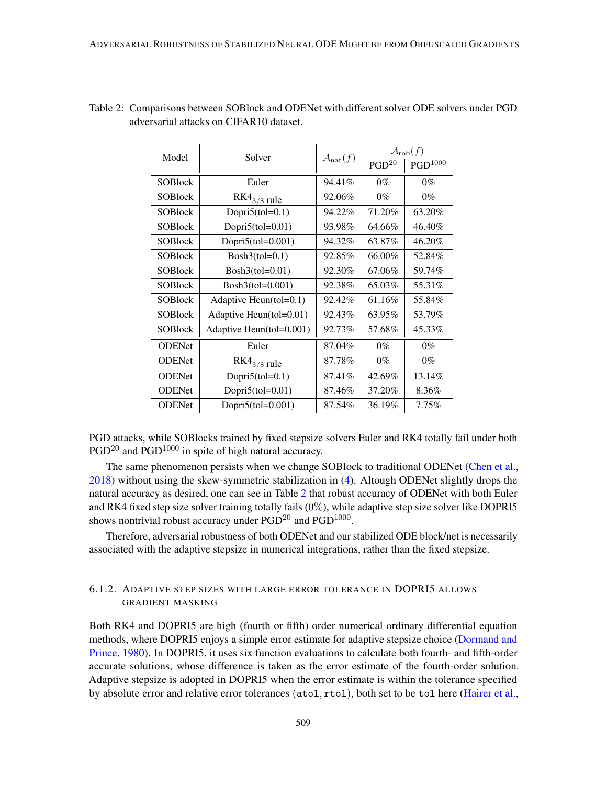| Model          | Solver                     | $\mathcal{A}_{\text{nat}}(f)$ | $\mathcal{A}_{\text{rob}}(f)$ |                     |  |
|----------------|----------------------------|-------------------------------|-------------------------------|---------------------|--|
|                |                            |                               | PGD <sup>20</sup>             | PGD <sup>1000</sup> |  |
| <b>SOBlock</b> | Euler                      | 94.41%                        | $0\%$                         | $0\%$               |  |
| <b>SOBlock</b> | $RK4_{3/8}$ rule           | 92.06%                        | $0\%$                         | $0\%$               |  |
| <b>SOBlock</b> | Dopri $5$ (tol=0.1)        | 94.22%                        | 71.20%                        | 63.20%              |  |
| <b>SOBlock</b> | Dopri $5$ (tol=0.01)       | 93.98%                        | 64.66%                        | 46.40%              |  |
| <b>SOBlock</b> | Dopri5(tol=0.001)          | 94.32%                        | 63.87%                        | 46.20%              |  |
| <b>SOBlock</b> | $Bosh3(tol=0.1)$           | 92.85%                        | 66.00%                        | 52.84%              |  |
| <b>SOBlock</b> | $Bosh3(tol=0.01)$          | 92.30%                        | 67.06%                        | 59.74%              |  |
| <b>SOBlock</b> | $Bosh3(tol=0.001)$         | 92.38%                        | 65.03%                        | 55.31%              |  |
| <b>SOBlock</b> | Adaptive Heun $(tol=0.1)$  | 92.42%                        | 61.16%                        | 55.84%              |  |
| <b>SOBlock</b> | Adaptive Heun $(tol=0.01)$ | 92.43%                        | 63.95%                        | 53.79%              |  |
| <b>SOBlock</b> | Adaptive Heun(tol=0.001)   | 92.73%                        | 57.68%                        | 45.33%              |  |
| <b>ODENet</b>  | Euler                      | 87.04%                        | $0\%$                         | $0\%$               |  |
| <b>ODENet</b>  | $RK4_{3/8}$ rule           | 87.78%                        | $0\%$                         | $0\%$               |  |
| <b>ODENet</b>  | Dopri $5$ (tol=0.1)        | 87.41%                        | 42.69%                        | 13.14%              |  |
| <b>ODENet</b>  | Dopri $5$ (tol=0.01)       | 87.46%                        | 37.20%                        | 8.36%               |  |
| <b>ODENet</b>  | Dopri $5$ (tol=0.001)      | 87.54%                        | 36.19%                        | $7.75\%$            |  |

<span id="page-12-0"></span>

|                                         | Table 2: Comparisons between SOBlock and ODENet with different solver ODE solvers under PGD |  |  |
|-----------------------------------------|---------------------------------------------------------------------------------------------|--|--|
| adversarial attacks on CIFAR10 dataset. |                                                                                             |  |  |

PGD attacks, while SOBlocks trained by fixed stepsize solvers Euler and RK4 totally fail under both PGD<sup>20</sup> and PGD<sup>1000</sup> in spite of high natural accuracy.

The same phenomenon persists when we change SOBlock to traditional ODENet [\(Chen et al.,](#page-16-5) [2018\)](#page-16-5) without using the skew-symmetric stabilization in [\(4\)](#page-5-0). Altough ODENet slightly drops the natural accuracy as desired, one can see in Table [2](#page-12-0) that robust accuracy of ODENet with both Euler and RK4 fixed step size solver training totally fails (0%), while adaptive step size solver like DOPRI5 shows nontrivial robust accuracy under  $PGD^{20}$  and  $PGD^{1000}$ .

Therefore, adversarial robustness of both ODENet and our stabilized ODE block/net is necessarily associated with the adaptive stepsize in numerical integrations, rather than the fixed stepsize.

# 6.1.2. ADAPTIVE STEP SIZES WITH LARGE ERROR TOLERANCE IN DOPRI5 ALLOWS GRADIENT MASKING

Both RK4 and DOPRI5 are high (fourth or fifth) order numerical ordinary differential equation methods, where DOPRI5 enjoys a simple error estimate for adaptive stepsize choice [\(Dormand and](#page-16-11) [Prince,](#page-16-11) [1980\)](#page-16-11). In DOPRI5, it uses six function evaluations to calculate both fourth- and fifth-order accurate solutions, whose difference is taken as the error estimate of the fourth-order solution. Adaptive stepsize is adopted in DOPRI5 when the error estimate is within the tolerance specified by absolute error and relative error tolerances (atol, rtol), both set to be tol here [\(Hairer et al.,](#page-16-12)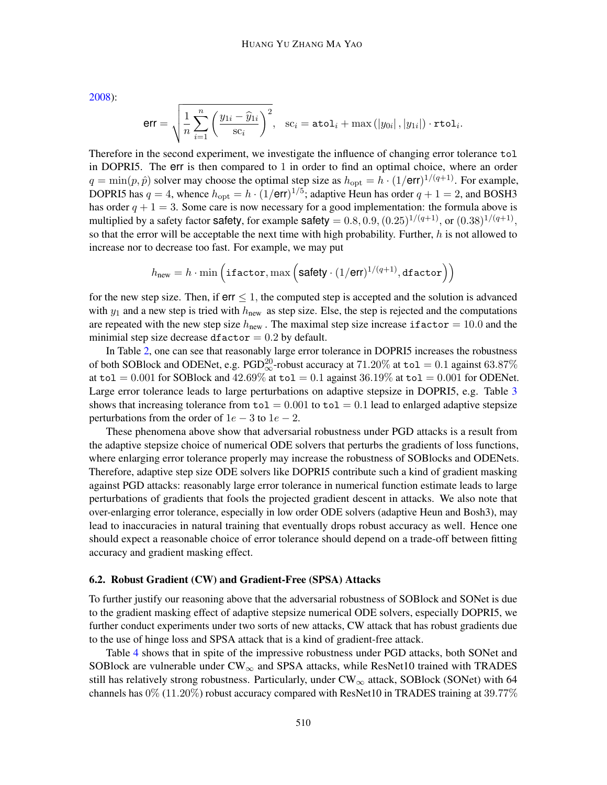[2008\)](#page-16-12):

$$
\textsf{err} = \sqrt{ \frac{1}{n} \sum_{i=1}^{n} \left( \frac{y_{1i} - \widehat{y}_{1i}}{\textsf{s} \mathbf{c}_i} \right)^2}, \quad \textsf{s} \mathbf{c}_i = \texttt{atol}_i + \max \left( \left| y_{0i} \right|, \left| y_{1i} \right| \right) \cdot \texttt{rtol}_i.
$$

Therefore in the second experiment, we investigate the influence of changing error tolerance tol in DOPRI5. The err is then compared to 1 in order to find an optimal choice, where an order  $q = \min(p, \hat{p})$  solver may choose the optimal step size as  $h_{opt} = h \cdot (1/\text{err})^{1/(q+1)}$ . For example, DOPRI5 has  $q = 4$ , whence  $h_{opt} = h \cdot (1/\text{err})^{1/5}$ ; adaptive Heun has order  $q + 1 = 2$ , and BOSH3 has order  $q + 1 = 3$ . Some care is now necessary for a good implementation: the formula above is multiplied by a safety factor safety, for example safety  $= 0.8, 0.9, (0.25)^{1/(q+1)}$ , or  $(0.38)^{1/(q+1)}$ , so that the error will be acceptable the next time with high probability. Further,  $h$  is not allowed to increase nor to decrease too fast. For example, we may put

$$
h_{\text{new}} = h \cdot \min\left(\text{ifactor}, \max\left(\text{safety} \cdot (1/\text{err})^{1/(q+1)}, \text{dfactor}\right)\right)
$$

for the new step size. Then, if  $err \leq 1$ , the computed step is accepted and the solution is advanced with  $y_1$  and a new step is tried with  $h_{\text{new}}$  as step size. Else, the step is rejected and the computations are repeated with the new step size  $h_{\text{new}}$ . The maximal step size increase if actor = 10.0 and the minimial step size decrease dfactor  $= 0.2$  by default.

In Table [2,](#page-12-0) one can see that reasonably large error tolerance in DOPRI5 increases the robustness of both SOBlock and ODENet, e.g.  $PGD_{\infty}^{20}$ -robust accuracy at  $71.20\%$  at  $\texttt{tol} = 0.1$  against  $63.87\%$ at tol = 0.001 for SOBlock and  $42.69\%$  at tol = 0.1 against  $36.19\%$  at tol = 0.001 for ODENet. Large error tolerance leads to large perturbations on adaptive stepsize in DOPRI5, e.g. Table [3](#page-14-0) shows that increasing tolerance from  $\text{tol} = 0.001$  to  $\text{tol} = 0.1$  lead to enlarged adaptive stepsize perturbations from the order of  $1e - 3$  to  $1e - 2$ .

These phenomena above show that adversarial robustness under PGD attacks is a result from the adaptive stepsize choice of numerical ODE solvers that perturbs the gradients of loss functions, where enlarging error tolerance properly may increase the robustness of SOBlocks and ODENets. Therefore, adaptive step size ODE solvers like DOPRI5 contribute such a kind of gradient masking against PGD attacks: reasonably large error tolerance in numerical function estimate leads to large perturbations of gradients that fools the projected gradient descent in attacks. We also note that over-enlarging error tolerance, especially in low order ODE solvers (adaptive Heun and Bosh3), may lead to inaccuracies in natural training that eventually drops robust accuracy as well. Hence one should expect a reasonable choice of error tolerance should depend on a trade-off between fitting accuracy and gradient masking effect.

#### 6.2. Robust Gradient (CW) and Gradient-Free (SPSA) Attacks

To further justify our reasoning above that the adversarial robustness of SOBlock and SONet is due to the gradient masking effect of adaptive stepsize numerical ODE solvers, especially DOPRI5, we further conduct experiments under two sorts of new attacks, CW attack that has robust gradients due to the use of hinge loss and SPSA attack that is a kind of gradient-free attack.

Table [4](#page-14-1) shows that in spite of the impressive robustness under PGD attacks, both SONet and SOBlock are vulnerable under  $CW_{\infty}$  and SPSA attacks, while ResNet10 trained with TRADES still has relatively strong robustness. Particularly, under  $CW_\infty$  attack, SOBlock (SONet) with 64 channels has  $0\%$  (11.20%) robust accuracy compared with ResNet10 in TRADES training at 39.77%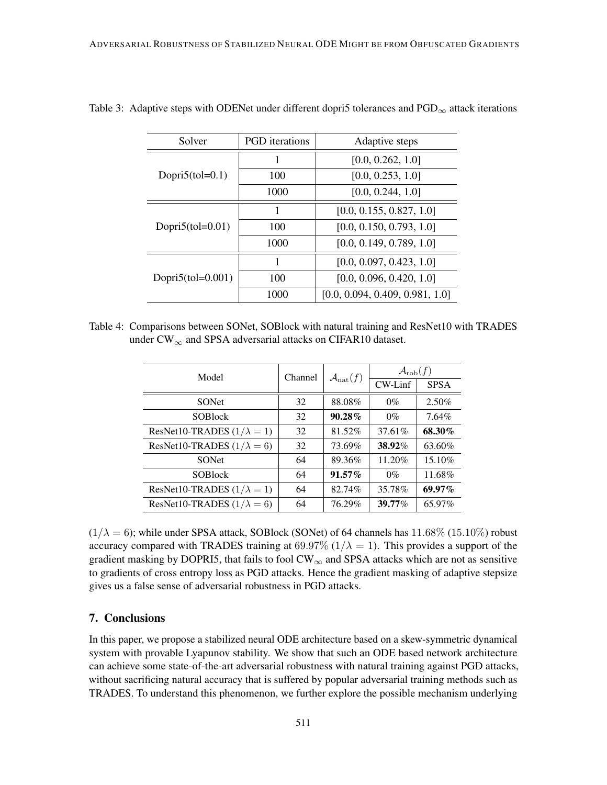| Solver                | <b>PGD</b> iterations | Adaptive steps                  |  |  |
|-----------------------|-----------------------|---------------------------------|--|--|
| Dopri $5$ (tol=0.1)   |                       | [0.0, 0.262, 1.0]               |  |  |
|                       | 100                   | [0.0, 0.253, 1.0]               |  |  |
|                       | 1000                  | [0.0, 0.244, 1.0]               |  |  |
| Dopri $5$ (tol=0.01)  |                       | [0.0, 0.155, 0.827, 1.0]        |  |  |
|                       | 100                   | [0.0, 0.150, 0.793, 1.0]        |  |  |
|                       | 1000                  | [0.0, 0.149, 0.789, 1.0]        |  |  |
| Dopri $5$ (tol=0.001) |                       | [0.0, 0.097, 0.423, 1.0]        |  |  |
|                       | 100                   | [0.0, 0.096, 0.420, 1.0]        |  |  |
|                       | 1000                  | [0.0, 0.094, 0.409, 0.981, 1.0] |  |  |

<span id="page-14-0"></span>Table 3: Adaptive steps with ODENet under different dopri5 tolerances and  $PGD_{\infty}$  attack iterations

<span id="page-14-1"></span>Table 4: Comparisons between SONet, SOBlock with natural training and ResNet10 with TRADES under  $CW_{\infty}$  and SPSA adversarial attacks on CIFAR10 dataset.

| Model                             | Channel | $\mathcal{A}_{\text{nat}}(f)$ | $\mathcal{A}_{\text{rob}}(f)$ |             |
|-----------------------------------|---------|-------------------------------|-------------------------------|-------------|
|                                   |         |                               | $CW$ -Linf                    | <b>SPSA</b> |
| <b>SONet</b>                      | 32      | 88.08%                        | $0\%$                         | 2.50%       |
| <b>SOBlock</b>                    | 32      | $90.28\%$                     | $0\%$                         | $7.64\%$    |
| ResNet10-TRADES $(1/\lambda = 1)$ | 32      | 81.52%                        | 37.61%                        | 68.30%      |
| ResNet10-TRADES $(1/\lambda = 6)$ | 32      | 73.69%                        | 38.92%                        | 63.60%      |
| <b>SONet</b>                      | 64      | 89.36%                        | 11.20%                        | 15.10%      |
| <b>SOBlock</b>                    | 64      | $91.57\%$                     | $0\%$                         | 11.68%      |
| ResNet10-TRADES $(1/\lambda = 1)$ | 64      | 82.74%                        | 35.78%                        | $69.97\%$   |
| ResNet10-TRADES $(1/\lambda = 6)$ | 64      | 76.29%                        | 39.77%                        | 65.97%      |

 $(1/\lambda = 6)$ ; while under SPSA attack, SOBlock (SONet) of 64 channels has 11.68% (15.10%) robust accuracy compared with TRADES training at 69.97%  $(1/\lambda = 1)$ . This provides a support of the gradient masking by DOPRI5, that fails to fool  $CW_\infty$  and SPSA attacks which are not as sensitive to gradients of cross entropy loss as PGD attacks. Hence the gradient masking of adaptive stepsize gives us a false sense of adversarial robustness in PGD attacks.

# 7. Conclusions

In this paper, we propose a stabilized neural ODE architecture based on a skew-symmetric dynamical system with provable Lyapunov stability. We show that such an ODE based network architecture can achieve some state-of-the-art adversarial robustness with natural training against PGD attacks, without sacrificing natural accuracy that is suffered by popular adversarial training methods such as TRADES. To understand this phenomenon, we further explore the possible mechanism underlying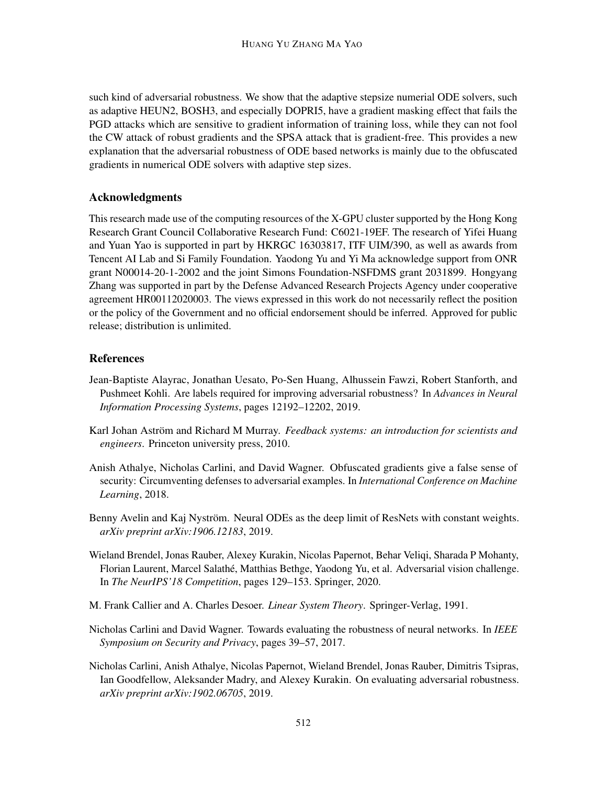such kind of adversarial robustness. We show that the adaptive stepsize numerial ODE solvers, such as adaptive HEUN2, BOSH3, and especially DOPRI5, have a gradient masking effect that fails the PGD attacks which are sensitive to gradient information of training loss, while they can not fool the CW attack of robust gradients and the SPSA attack that is gradient-free. This provides a new explanation that the adversarial robustness of ODE based networks is mainly due to the obfuscated gradients in numerical ODE solvers with adaptive step sizes.

# Acknowledgments

This research made use of the computing resources of the X-GPU cluster supported by the Hong Kong Research Grant Council Collaborative Research Fund: C6021-19EF. The research of Yifei Huang and Yuan Yao is supported in part by HKRGC 16303817, ITF UIM/390, as well as awards from Tencent AI Lab and Si Family Foundation. Yaodong Yu and Yi Ma acknowledge support from ONR grant N00014-20-1-2002 and the joint Simons Foundation-NSFDMS grant 2031899. Hongyang Zhang was supported in part by the Defense Advanced Research Projects Agency under cooperative agreement HR00112020003. The views expressed in this work do not necessarily reflect the position or the policy of the Government and no official endorsement should be inferred. Approved for public release; distribution is unlimited.

# **References**

- <span id="page-15-1"></span>Jean-Baptiste Alayrac, Jonathan Uesato, Po-Sen Huang, Alhussein Fawzi, Robert Stanforth, and Pushmeet Kohli. Are labels required for improving adversarial robustness? In *Advances in Neural Information Processing Systems*, pages 12192–12202, 2019.
- <span id="page-15-3"></span>Karl Johan Aström and Richard M Murray. *Feedback systems: an introduction for scientists and engineers*. Princeton university press, 2010.
- <span id="page-15-7"></span>Anish Athalye, Nicholas Carlini, and David Wagner. Obfuscated gradients give a false sense of security: Circumventing defenses to adversarial examples. In *International Conference on Machine Learning*, 2018.
- <span id="page-15-4"></span>Benny Avelin and Kaj Nyström. Neural ODEs as the deep limit of ResNets with constant weights. *arXiv preprint arXiv:1906.12183*, 2019.
- <span id="page-15-6"></span>Wieland Brendel, Jonas Rauber, Alexey Kurakin, Nicolas Papernot, Behar Veliqi, Sharada P Mohanty, Florian Laurent, Marcel Salathé, Matthias Bethge, Yaodong Yu, et al. Adversarial vision challenge. In *The NeurIPS'18 Competition*, pages 129–153. Springer, 2020.
- <span id="page-15-2"></span>M. Frank Callier and A. Charles Desoer. *Linear System Theory*. Springer-Verlag, 1991.
- <span id="page-15-5"></span>Nicholas Carlini and David Wagner. Towards evaluating the robustness of neural networks. In *IEEE Symposium on Security and Privacy*, pages 39–57, 2017.
- <span id="page-15-0"></span>Nicholas Carlini, Anish Athalye, Nicolas Papernot, Wieland Brendel, Jonas Rauber, Dimitris Tsipras, Ian Goodfellow, Aleksander Madry, and Alexey Kurakin. On evaluating adversarial robustness. *arXiv preprint arXiv:1902.06705*, 2019.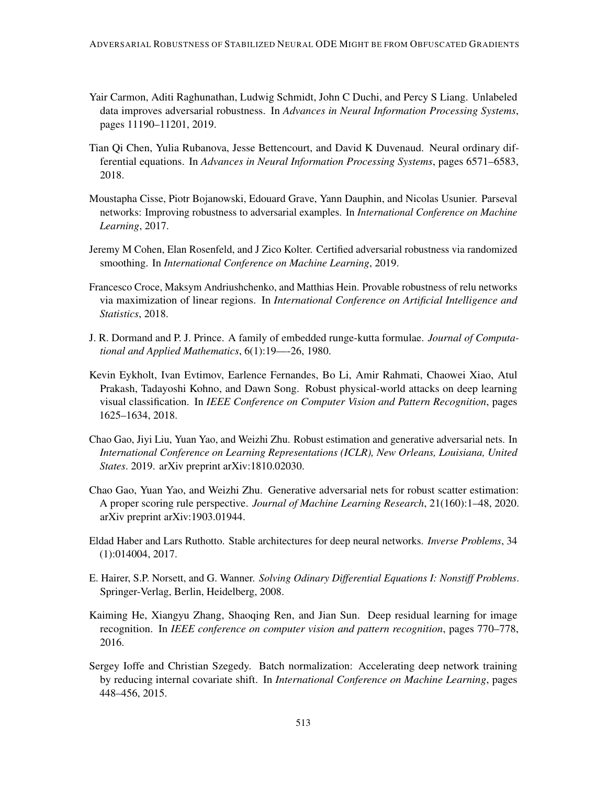- <span id="page-16-0"></span>Yair Carmon, Aditi Raghunathan, Ludwig Schmidt, John C Duchi, and Percy S Liang. Unlabeled data improves adversarial robustness. In *Advances in Neural Information Processing Systems*, pages 11190–11201, 2019.
- <span id="page-16-5"></span>Tian Qi Chen, Yulia Rubanova, Jesse Bettencourt, and David K Duvenaud. Neural ordinary differential equations. In *Advances in Neural Information Processing Systems*, pages 6571–6583, 2018.
- <span id="page-16-4"></span>Moustapha Cisse, Piotr Bojanowski, Edouard Grave, Yann Dauphin, and Nicolas Usunier. Parseval networks: Improving robustness to adversarial examples. In *International Conference on Machine Learning*, 2017.
- <span id="page-16-9"></span>Jeremy M Cohen, Elan Rosenfeld, and J Zico Kolter. Certified adversarial robustness via randomized smoothing. In *International Conference on Machine Learning*, 2019.
- <span id="page-16-7"></span>Francesco Croce, Maksym Andriushchenko, and Matthias Hein. Provable robustness of relu networks via maximization of linear regions. In *International Conference on Artificial Intelligence and Statistics*, 2018.
- <span id="page-16-11"></span>J. R. Dormand and P. J. Prince. A family of embedded runge-kutta formulae. *Journal of Computational and Applied Mathematics*, 6(1):19—-26, 1980.
- <span id="page-16-3"></span>Kevin Eykholt, Ivan Evtimov, Earlence Fernandes, Bo Li, Amir Rahmati, Chaowei Xiao, Atul Prakash, Tadayoshi Kohno, and Dawn Song. Robust physical-world attacks on deep learning visual classification. In *IEEE Conference on Computer Vision and Pattern Recognition*, pages 1625–1634, 2018.
- <span id="page-16-1"></span>Chao Gao, Jiyi Liu, Yuan Yao, and Weizhi Zhu. Robust estimation and generative adversarial nets. In *International Conference on Learning Representations (ICLR), New Orleans, Louisiana, United States*. 2019. arXiv preprint arXiv:1810.02030.
- <span id="page-16-2"></span>Chao Gao, Yuan Yao, and Weizhi Zhu. Generative adversarial nets for robust scatter estimation: A proper scoring rule perspective. *Journal of Machine Learning Research*, 21(160):1–48, 2020. arXiv preprint arXiv:1903.01944.
- <span id="page-16-8"></span>Eldad Haber and Lars Ruthotto. Stable architectures for deep neural networks. *Inverse Problems*, 34 (1):014004, 2017.
- <span id="page-16-12"></span>E. Hairer, S.P. Norsett, and G. Wanner. *Solving Odinary Differential Equations I: Nonstiff Problems*. Springer-Verlag, Berlin, Heidelberg, 2008.
- <span id="page-16-6"></span>Kaiming He, Xiangyu Zhang, Shaoqing Ren, and Jian Sun. Deep residual learning for image recognition. In *IEEE conference on computer vision and pattern recognition*, pages 770–778, 2016.
- <span id="page-16-10"></span>Sergey Ioffe and Christian Szegedy. Batch normalization: Accelerating deep network training by reducing internal covariate shift. In *International Conference on Machine Learning*, pages 448–456, 2015.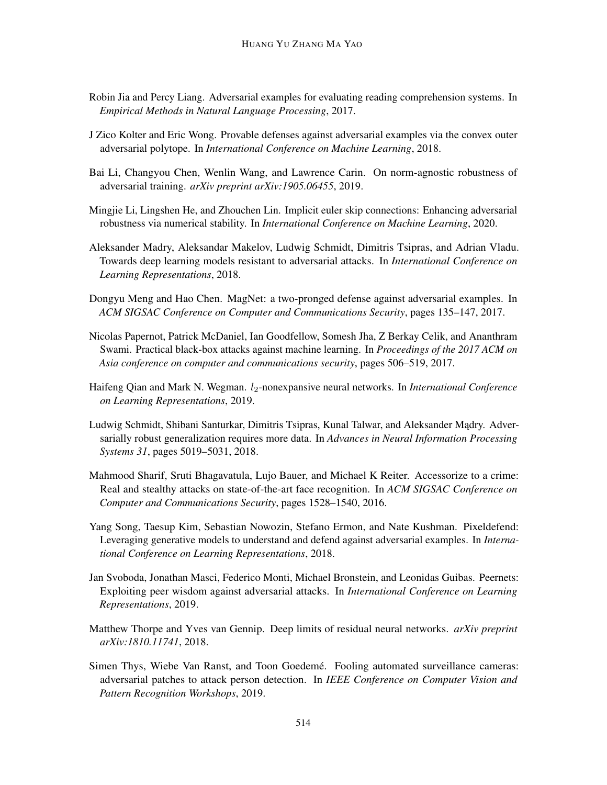- <span id="page-17-5"></span>Robin Jia and Percy Liang. Adversarial examples for evaluating reading comprehension systems. In *Empirical Methods in Natural Language Processing*, 2017.
- <span id="page-17-1"></span>J Zico Kolter and Eric Wong. Provable defenses against adversarial examples via the convex outer adversarial polytope. In *International Conference on Machine Learning*, 2018.
- <span id="page-17-8"></span>Bai Li, Changyou Chen, Wenlin Wang, and Lawrence Carin. On norm-agnostic robustness of adversarial training. *arXiv preprint arXiv:1905.06455*, 2019.
- <span id="page-17-9"></span>Mingjie Li, Lingshen He, and Zhouchen Lin. Implicit euler skip connections: Enhancing adversarial robustness via numerical stability. In *International Conference on Machine Learning*, 2020.
- <span id="page-17-0"></span>Aleksander Madry, Aleksandar Makelov, Ludwig Schmidt, Dimitris Tsipras, and Adrian Vladu. Towards deep learning models resistant to adversarial attacks. In *International Conference on Learning Representations*, 2018.
- <span id="page-17-3"></span>Dongyu Meng and Hao Chen. MagNet: a two-pronged defense against adversarial examples. In *ACM SIGSAC Conference on Computer and Communications Security*, pages 135–147, 2017.
- <span id="page-17-13"></span>Nicolas Papernot, Patrick McDaniel, Ian Goodfellow, Somesh Jha, Z Berkay Celik, and Ananthram Swami. Practical black-box attacks against machine learning. In *Proceedings of the 2017 ACM on Asia conference on computer and communications security*, pages 506–519, 2017.
- <span id="page-17-10"></span>Haifeng Qian and Mark N. Wegman. *l*<sub>2</sub>-nonexpansive neural networks. In *International Conference on Learning Representations*, 2019.
- <span id="page-17-6"></span>Ludwig Schmidt, Shibani Santurkar, Dimitris Tsipras, Kunal Talwar, and Aleksander Madry. Adversarially robust generalization requires more data. In *Advances in Neural Information Processing Systems 31*, pages 5019–5031, 2018.
- <span id="page-17-2"></span>Mahmood Sharif, Sruti Bhagavatula, Lujo Bauer, and Michael K Reiter. Accessorize to a crime: Real and stealthy attacks on state-of-the-art face recognition. In *ACM SIGSAC Conference on Computer and Communications Security*, pages 1528–1540, 2016.
- <span id="page-17-4"></span>Yang Song, Taesup Kim, Sebastian Nowozin, Stefano Ermon, and Nate Kushman. Pixeldefend: Leveraging generative models to understand and defend against adversarial examples. In *International Conference on Learning Representations*, 2018.
- <span id="page-17-12"></span>Jan Svoboda, Jonathan Masci, Federico Monti, Michael Bronstein, and Leonidas Guibas. Peernets: Exploiting peer wisdom against adversarial attacks. In *International Conference on Learning Representations*, 2019.
- <span id="page-17-11"></span>Matthew Thorpe and Yves van Gennip. Deep limits of residual neural networks. *arXiv preprint arXiv:1810.11741*, 2018.
- <span id="page-17-7"></span>Simen Thys, Wiebe Van Ranst, and Toon Goedemé. Fooling automated surveillance cameras: adversarial patches to attack person detection. In *IEEE Conference on Computer Vision and Pattern Recognition Workshops*, 2019.